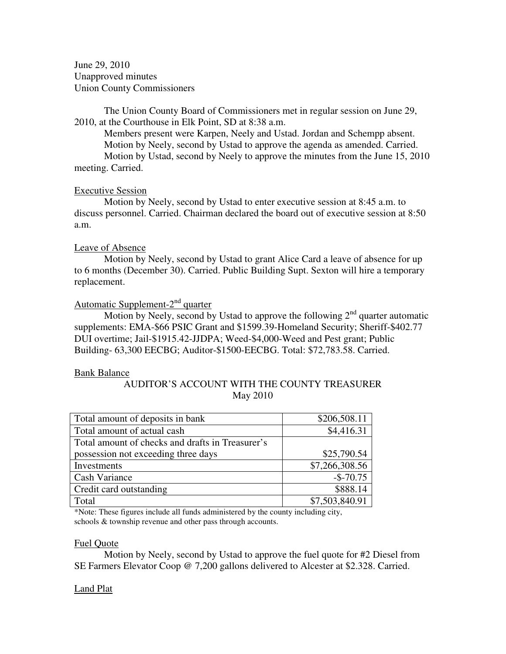June 29, 2010 Unapproved minutes Union County Commissioners

The Union County Board of Commissioners met in regular session on June 29, 2010, at the Courthouse in Elk Point, SD at 8:38 a.m.

 Members present were Karpen, Neely and Ustad. Jordan and Schempp absent. Motion by Neely, second by Ustad to approve the agenda as amended. Carried. Motion by Ustad, second by Neely to approve the minutes from the June 15, 2010 meeting. Carried.

## Executive Session

 Motion by Neely, second by Ustad to enter executive session at 8:45 a.m. to discuss personnel. Carried. Chairman declared the board out of executive session at 8:50 a.m.

## Leave of Absence

 Motion by Neely, second by Ustad to grant Alice Card a leave of absence for up to 6 months (December 30). Carried. Public Building Supt. Sexton will hire a temporary replacement.

# Automatic Supplement-2<sup>nd</sup> quarter

Motion by Neely, second by Ustad to approve the following  $2<sup>nd</sup>$  quarter automatic supplements: EMA-\$66 PSIC Grant and \$1599.39-Homeland Security; Sheriff-\$402.77 DUI overtime; Jail-\$1915.42-JJDPA; Weed-\$4,000-Weed and Pest grant; Public Building- 63,300 EECBG; Auditor-\$1500-EECBG. Total: \$72,783.58. Carried.

### Bank Balance

# AUDITOR'S ACCOUNT WITH THE COUNTY TREASURER May 2010

| Total amount of deposits in bank                 | \$206,508.11   |
|--------------------------------------------------|----------------|
| Total amount of actual cash                      | \$4,416.31     |
| Total amount of checks and drafts in Treasurer's |                |
| possession not exceeding three days              | \$25,790.54    |
| Investments                                      | \$7,266,308.56 |
| Cash Variance                                    | $-$-70.75$     |
| Credit card outstanding                          | \$888.14       |
| Total                                            | \$7,503,840.91 |

\*Note: These figures include all funds administered by the county including city, schools & township revenue and other pass through accounts.

### Fuel Quote

 Motion by Neely, second by Ustad to approve the fuel quote for #2 Diesel from SE Farmers Elevator Coop @ 7,200 gallons delivered to Alcester at \$2.328. Carried.

## Land Plat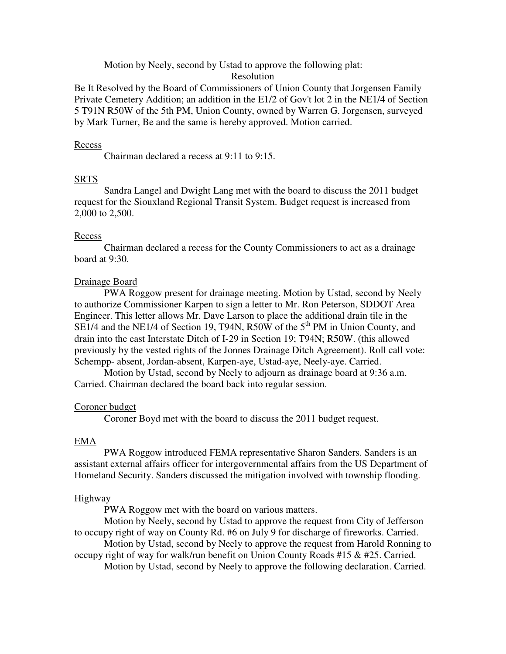Motion by Neely, second by Ustad to approve the following plat:

## Resolution

Be It Resolved by the Board of Commissioners of Union County that Jorgensen Family Private Cemetery Addition; an addition in the E1/2 of Gov't lot 2 in the NE1/4 of Section 5 T91N R50W of the 5th PM, Union County, owned by Warren G. Jorgensen, surveyed by Mark Turner, Be and the same is hereby approved. Motion carried.

#### Recess

Chairman declared a recess at 9:11 to 9:15.

#### **SRTS**

 Sandra Langel and Dwight Lang met with the board to discuss the 2011 budget request for the Siouxland Regional Transit System. Budget request is increased from 2,000 to 2,500.

#### Recess

 Chairman declared a recess for the County Commissioners to act as a drainage board at 9:30.

#### Drainage Board

 PWA Roggow present for drainage meeting. Motion by Ustad, second by Neely to authorize Commissioner Karpen to sign a letter to Mr. Ron Peterson, SDDOT Area Engineer. This letter allows Mr. Dave Larson to place the additional drain tile in the SE1/4 and the NE1/4 of Section 19, T94N, R50W of the  $5<sup>th</sup>$  PM in Union County, and drain into the east Interstate Ditch of I-29 in Section 19; T94N; R50W. (this allowed previously by the vested rights of the Jonnes Drainage Ditch Agreement). Roll call vote: Schempp- absent, Jordan-absent, Karpen-aye, Ustad-aye, Neely-aye. Carried.

 Motion by Ustad, second by Neely to adjourn as drainage board at 9:36 a.m. Carried. Chairman declared the board back into regular session.

#### Coroner budget

Coroner Boyd met with the board to discuss the 2011 budget request.

### EMA

 PWA Roggow introduced FEMA representative Sharon Sanders. Sanders is an assistant external affairs officer for intergovernmental affairs from the US Department of Homeland Security. Sanders discussed the mitigation involved with township flooding.

#### Highway

PWA Roggow met with the board on various matters.

 Motion by Neely, second by Ustad to approve the request from City of Jefferson to occupy right of way on County Rd. #6 on July 9 for discharge of fireworks. Carried.

 Motion by Ustad, second by Neely to approve the request from Harold Ronning to occupy right of way for walk/run benefit on Union County Roads #15  $& 425$ . Carried.

Motion by Ustad, second by Neely to approve the following declaration. Carried.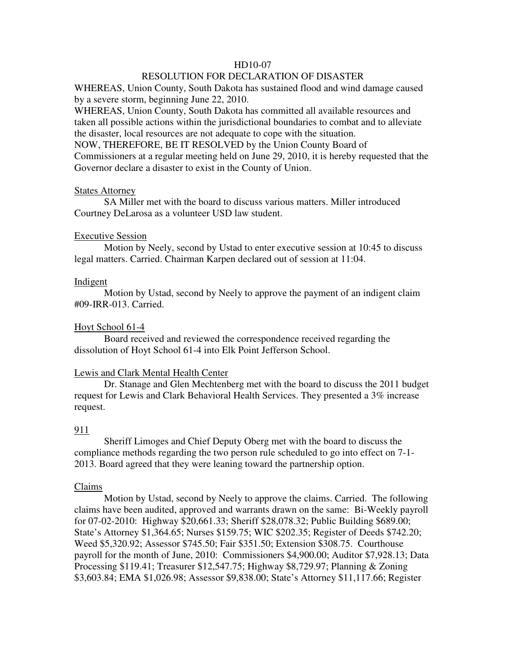### HD10-07

# RESOLUTION FOR DECLARATION OF DISASTER

WHEREAS, Union County, South Dakota has sustained flood and wind damage caused by a severe storm, beginning June 22, 2010.

WHEREAS, Union County, South Dakota has committed all available resources and taken all possible actions within the jurisdictional boundaries to combat and to alleviate the disaster, local resources are not adequate to cope with the situation. NOW, THEREFORE, BE IT RESOLVED by the Union County Board of Commissioners at a regular meeting held on June 29, 2010, it is hereby requested that the Governor declare a disaster to exist in the County of Union.

### States Attorney

 SA Miller met with the board to discuss various matters. Miller introduced Courtney DeLarosa as a volunteer USD law student.

#### Executive Session

 Motion by Neely, second by Ustad to enter executive session at 10:45 to discuss legal matters. Carried. Chairman Karpen declared out of session at 11:04.

#### **Indigent**

 Motion by Ustad, second by Neely to approve the payment of an indigent claim #09-IRR-013. Carried.

### Hoyt School 61-4

 Board received and reviewed the correspondence received regarding the dissolution of Hoyt School 61-4 into Elk Point Jefferson School.

### Lewis and Clark Mental Health Center

 Dr. Stanage and Glen Mechtenberg met with the board to discuss the 2011 budget request for Lewis and Clark Behavioral Health Services. They presented a 3% increase request.

### 911

 Sheriff Limoges and Chief Deputy Oberg met with the board to discuss the compliance methods regarding the two person rule scheduled to go into effect on 7-1- 2013. Board agreed that they were leaning toward the partnership option.

#### Claims

 Motion by Ustad, second by Neely to approve the claims. Carried. The following claims have been audited, approved and warrants drawn on the same: Bi-Weekly payroll for 07-02-2010: Highway \$20,661.33; Sheriff \$28,078.32; Public Building \$689.00; State's Attorney \$1,364.65; Nurses \$159.75; WIC \$202.35; Register of Deeds \$742.20; Weed \$5,320.92; Assessor \$745.50; Fair \$351.50; Extension \$308.75. Courthouse payroll for the month of June, 2010: Commissioners \$4,900.00; Auditor \$7,928.13; Data Processing \$119.41; Treasurer \$12,547.75; Highway \$8,729.97; Planning & Zoning \$3,603.84; EMA \$1,026.98; Assessor \$9,838.00; State's Attorney \$11,117.66; Register